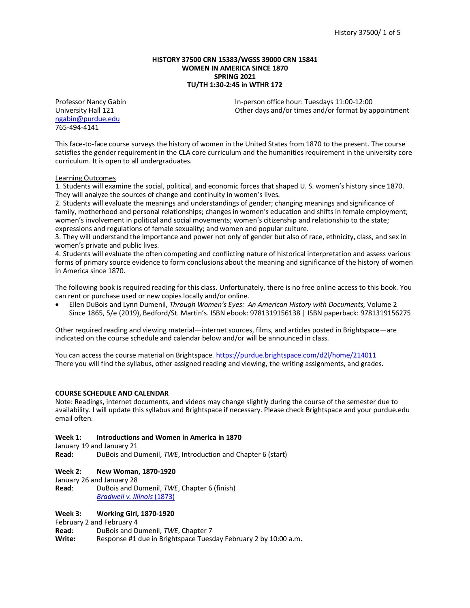### **HISTORY 37500 CRN 15383/WGSS 39000 CRN 15841 WOMEN IN AMERICA SINCE 1870 SPRING 2021 TU/TH 1:30-2:45 in WTHR 172**

[ngabin@purdue.edu](mailto:ngabin@purdue.edu) 765-494-4141

Professor Nancy Gabin **In-person office hour: Tuesdays 11:00-12:00**<br>University Hall 121 **Interpolation Control** Other days and/or times and/or format by a Other days and/or times and/or format by appointment

This face-to-face course surveys the history of women in the United States from 1870 to the present. The course satisfies the gender requirement in the CLA core curriculum and the humanities requirement in the university core curriculum. It is open to all undergraduates.

# Learning Outcomes

1. Students will examine the social, political, and economic forces that shaped U. S. women's history since 1870. They will analyze the sources of change and continuity in women's lives.

2. Students will evaluate the meanings and understandings of gender; changing meanings and significance of family, motherhood and personal relationships; changes in women's education and shifts in female employment; women's involvement in political and social movements; women's citizenship and relationship to the state; expressions and regulations of female sexuality; and women and popular culture.

3. They will understand the importance and power not only of gender but also of race, ethnicity, class, and sex in women's private and public lives.

4. Students will evaluate the often competing and conflicting nature of historical interpretation and assess various forms of primary source evidence to form conclusions about the meaning and significance of the history of women in America since 1870.

The following book is required reading for this class. Unfortunately, there is no free online access to this book. You can rent or purchase used or new copies locally and/or online.

• Ellen DuBois and Lynn Dumenil, *Through Women's Eyes: An American History with Documents,* Volume 2 Since 1865, 5/e (2019), Bedford/St. Martin's. ISBN ebook: 9781319156138 | ISBN paperback: 9781319156275

Other required reading and viewing material—internet sources, films, and articles posted in Brightspace—are indicated on the course schedule and calendar below and/or will be announced in class.

You can access the course material on Brightspace[. https://purdue.brightspace.com/d2l/home/214011](https://purdue.brightspace.com/d2l/home/214011) There you will find the syllabus, other assigned reading and viewing, the writing assignments, and grades.

### **COURSE SCHEDULE AND CALENDAR**

Note: Readings, internet documents, and videos may change slightly during the course of the semester due to availability. I will update this syllabus and Brightspace if necessary. Please check Brightspace and your purdue.edu email often.

### **Week 1: Introductions and Women in America in 1870**

January 19 and January 21

**Read:** DuBois and Dumenil, *TWE*, Introduction and Chapter 6 (start)

### **Week 2: New Woman, 1870-1920**

January 26 and January 28

**Read**: DuBois and Dumenil, *TWE*, Chapter 6 (finish) *[Bradwell v. Illinois](https://supreme.justia.com/cases/federal/us/83/130/)* (1873)

### **Week 3: Working Girl, 1870-1920**

February 2 and February 4

**Read**: DuBois and Dumenil, *TWE*, Chapter 7

**Write:** Response #1 due in Brightspace Tuesday February 2 by 10:00 a.m.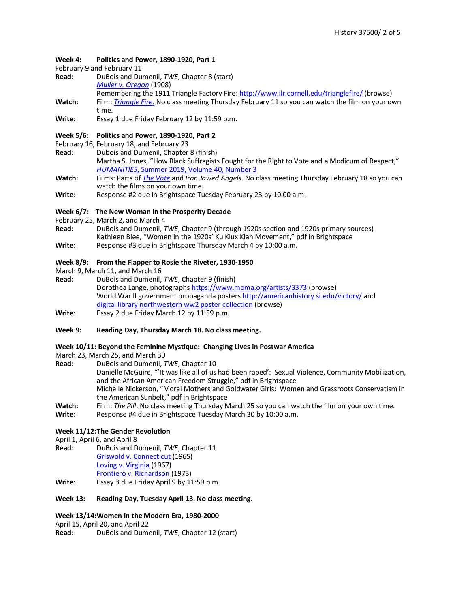# **Week 4: Politics and Power, 1890-1920, Part 1**

February 9 and February 11

- **Read**: DuBois and Dumenil, *TWE*, Chapter 8 (start)
	- *[Muller v. Oregon](https://www.law.cornell.edu/supremecourt/text/208/412)* (1908)
	- Remembering the 1911 Triangle Factory Fire: <http://www.ilr.cornell.edu/trianglefire/> (browse)
- **Watch**: Film: *[Triangle Fire](https://purdue.kanopy.com/video/triangle-fire)*. No class meeting Thursday February 11 so you can watch the film on your own time.
- **Write**: Essay 1 due Friday February 12 by 11:59 p.m.

# **Week 5/6: Politics and Power, 1890-1920, Part 2**

- February 16, February 18, and February 23
- **Read**: Dubois and Dumenil, Chapter 8 (finish)

Martha S. Jones, "How Black Suffragists Fought for the Right to Vote and a Modicum of Respect," *HUMANITIES*[, Summer 2019, Volume 40, Number 3](https://www.neh.gov/article/how-black-suffragists-fought-right-vote-and-modicum-respect)

- **Watch:** Films: Parts of *[The Vote](https://purdue.kanopy.com/video/vote)* and *Iron Jawed Angels*. No class meeting Thursday February 18 so you can watch the films on your own time.
- **Write**: Response #2 due in Brightspace Tuesday February 23 by 10:00 a.m.

# **Week 6/7: The New Woman in the Prosperity Decade**

- 
- February 25, March 2, and March 4<br>**Read**: DuBois and Dumenil, 7 **Read**: DuBois and Dumenil, *TWE*, Chapter 9 (through 1920s section and 1920s primary sources) Kathleen Blee, "Women in the 1920s' Ku Klux Klan Movement," pdf in Brightspace
- **Write**: Response #3 due in Brightspace Thursday March 4 by 10:00 a.m.

# **Week 8/9: From the Flapper to Rosie the Riveter, 1930-1950**

- 
- March 9, March 11, and March 16<br>**Read**: DuBois and Dumenil, **Read**: DuBois and Dumenil, *TWE*, Chapter 9 (finish) Dorothea Lange, photograph[s https://www.moma.org/artists/3373](https://www.moma.org/artists/3373) (browse) World War II government propaganda posters <http://americanhistory.si.edu/victory/> and [digital library northwestern ww2 poster collection](https://dc.library.northwestern.edu/collections/faf4f60e-78e0-4fbf-96ce-4ca8b4df597a?collection-search=%22women%22) (browse) **Write**: Essay 2 due Friday March 12 by 11:59 p.m.
- **Week 9: Reading Day, Thursday March 18. No class meeting.**

### **Week 10/11: Beyond the Feminine Mystique: Changing Lives in Postwar America**

March 23, March 25, and March 30<br> **Read:** DuBois and Dumenil. 7

- **Read**: DuBois and Dumenil, *TWE*, Chapter 10 Danielle McGuire, "'It was like all of us had been raped': Sexual Violence, Community Mobilization, and the African American Freedom Struggle," pdf in Brightspace Michelle Nickerson, "Moral Mothers and Goldwater Girls: Women and Grassroots Conservatism in the American Sunbelt," pdf in Brightspace Watch: Film: *The Pill*. No class meeting Thursday March 25 so you can watch the film on your own time.<br>Write: Response #4 due in Brightspace Tuesday March 30 by 10:00 a.m.
- Response #4 due in Brightspace Tuesday March 30 by 10:00 a.m.

# **Week 11/12:The Gender Revolution**

April 1, April 6, and April 8

**Read**: DuBois and Dumenil, *TWE*, Chapter 11 [Griswold v. Connecticut](http://law2.umkc.edu/faculty/projects/ftrials/conlaw/griswold.html) (1965) [Loving v. Virginia](http://law2.umkc.edu/faculty/projects/ftrials/conlaw/loving.html) (1967) [Frontiero v. Richardson](https://supreme.justia.com/cases/federal/us/411/677/case.html) (1973) **Write**: Essay 3 due Friday April 9 by 11:59 p.m.

# **Week 13: Reading Day, Tuesday April 13. No class meeting.**

# **Week 13/14:Women in the Modern Era, 1980-2000**

April 15, April 20, and April 22

**Read**: DuBois and Dumenil, *TWE*, Chapter 12 (start)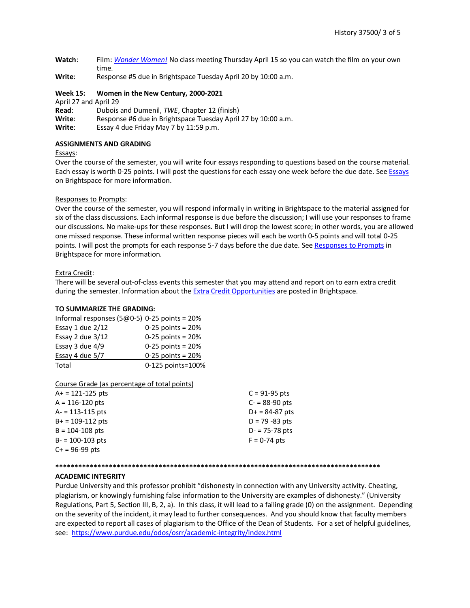- **Watch**: Film: *[Wonder Women!](https://purdue.kanopy.com/)* No class meeting Thursday April 15 so you can watch the film on your own time.
- **Write**: Response #5 due in Brightspace Tuesday April 20 by 10:00 a.m.

#### **Week 15: Women in the New Century, 2000-2021**

April 27 and April 29

- **Read**: Dubois and Dumenil, *TWE*, Chapter 12 (finish)
- **Write**: Response #6 due in Brightspace Tuesday April 27 by 10:00 a.m.
- **Write**: Essay 4 due Friday May 7 by 11:59 p.m.

#### **ASSIGNMENTS AND GRADING**

#### Essays:

Over the course of the semester, you will write four essays responding to questions based on the course material. Each essay is worth 0-25 points. I will post the questions for each essay one week before the due date. See [Essays](https://purdue.brightspace.com/d2l/home/214011) on Brightspace for more information.

# Responses to Prompts:

Over the course of the semester, you will respond informally in writing in Brightspace to the material assigned for six of the class discussions. Each informal response is due before the discussion; I will use your responses to frame our discussions. No make-ups for these responses. But I will drop the lowest score; in other words, you are allowed one missed response. These informal written response pieces will each be worth 0-5 points and will total 0-25 points. I will post the prompts for each response 5-7 days before the due date. See [Responses to Prompts](https://purdue.brightspace.com/d2l/home/214011) in Brightspace for more information.

#### Extra Credit:

There will be several out-of-class events this semester that you may attend and report on to earn extra credit during the semester. Information about the Extra [Credit Opportunities](https://purdue.brightspace.com/d2l/home/214011) are posted in Brightspace.

# **TO SUMMARIZE THE GRADING:**

| Informal responses (5 $@0-5$ ) 0-25 points = 20% |                     |
|--------------------------------------------------|---------------------|
| Essay 1 due $2/12$                               | $0-25$ points = 20% |
| Essay 2 due $3/12$                               | $0-25$ points = 20% |
| Essay 3 due $4/9$                                | $0-25$ points = 20% |
| Essay 4 due 5/7                                  | $0-25$ points = 20% |
| Total                                            | 0-125 points=100%   |

Course Grade (as percentage of total points)

| $A+ = 121 - 125$ pts | $C = 91-95$ pts   |
|----------------------|-------------------|
| $A = 116 - 120$ pts  | $C - 88 - 90$ pts |
| $A = 113 - 115$ pts  | $D+ = 84-87$ pts  |
| $B+ = 109-112$ pts   | $D = 79 - 83$ pts |
| $B = 104 - 108$ pts  | $D - 75 - 78$ pts |
| $B - 100 - 103$ pts  | $F = 0-74$ pts    |
| $C+ = 96-99$ pts     |                   |
|                      |                   |

#### **\*\*\*\*\*\*\*\*\*\*\*\*\*\*\*\*\*\*\*\*\*\*\*\*\*\*\*\*\*\*\*\*\*\*\*\*\*\*\*\*\*\*\*\*\*\*\*\*\*\*\*\*\*\*\*\*\*\*\*\*\*\*\*\*\*\*\*\*\*\*\*\*\*\*\*\*\*\*\*\*\*\*\*\*\***

#### **ACADEMIC INTEGRITY**

Purdue University and this professor prohibit "dishonesty in connection with any University activity. Cheating, plagiarism, or knowingly furnishing false information to the University are examples of dishonesty." (University Regulations, Part 5, Section III, B, 2, a). In this class, it will lead to a failing grade (0) on the assignment. Depending on the severity of the incident, it may lead to further consequences. And you should know that faculty members are expected to report all cases of plagiarism to the Office of the Dean of Students. For a set of helpful guidelines, see: <https://www.purdue.edu/odos/osrr/academic-integrity/index.html>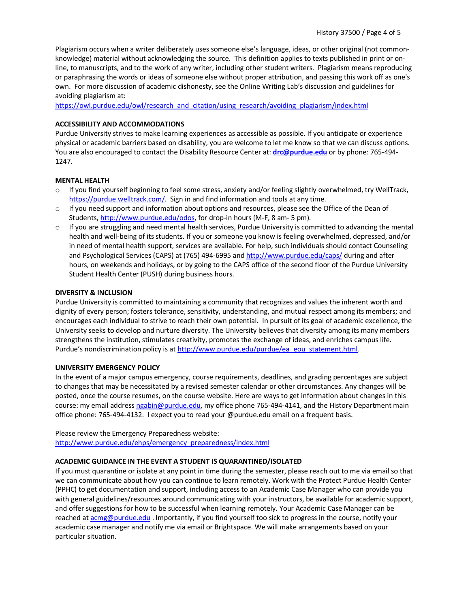Plagiarism occurs when a writer deliberately uses someone else's language, ideas, or other original (not commonknowledge) material without acknowledging the source. This definition applies to texts published in print or online, to manuscripts, and to the work of any writer, including other student writers. Plagiarism means reproducing or paraphrasing the words or ideas of someone else without proper attribution, and passing this work off as one's own. For more discussion of academic dishonesty, see the Online Writing Lab's discussion and guidelines for avoiding plagiarism at:

[https://owl.purdue.edu/owl/research\\_and\\_citation/using\\_research/avoiding\\_plagiarism/index.html](https://owl.purdue.edu/owl/research_and_citation/using_research/avoiding_plagiarism/index.html)

# **ACCESSIBILITY AND ACCOMMODATIONS**

Purdue University strives to make learning experiences as accessible as possible. If you anticipate or experience physical or academic barriers based on disability, you are welcome to let me know so that we can discuss options. You are also encouraged to contact the Disability Resource Center at: **[drc@purdue.edu](mailto:drc@purdue.edu)** or by phone: 765-494- 1247.

# **MENTAL HEALTH**

- $\circ$  If you find yourself beginning to feel some stress, anxiety and/or feeling slightly overwhelmed, try WellTrack, [https://purdue.welltrack.com/.](https://purdue.welltrack.com/) Sign in and find information and tools at any time.
- $\circ$  If you need support and information about options and resources, please see the Office of the Dean of Students[, http://www.purdue.edu/odos,](http://www.purdue.edu/odos) for drop-in hours (M-F, 8 am- 5 pm).
- $\circ$  If you are struggling and need mental health services, Purdue University is committed to advancing the mental health and well-being of its students. If you or someone you know is feeling overwhelmed, depressed, and/or in need of mental health support, services are available. For help, such individuals should contact Counseling and Psychological Services (CAPS) at (765) 494-6995 and<http://www.purdue.edu/caps/> during and after hours, on weekends and holidays, or by going to the CAPS office of the second floor of the Purdue University Student Health Center (PUSH) during business hours.

# **DIVERSITY & INCLUSION**

Purdue University is committed to maintaining a community that recognizes and values the inherent worth and dignity of every person; fosters tolerance, sensitivity, understanding, and mutual respect among its members; and encourages each individual to strive to reach their own potential. In pursuit of its goal of academic excellence, the University seeks to develop and nurture diversity. The University believes that diversity among its many members strengthens the institution, stimulates creativity, promotes the exchange of ideas, and enriches campus life. Purdue's nondiscrimination policy is at [http://www.purdue.edu/purdue/ea\\_eou\\_statement.html.](http://www.purdue.edu/purdue/ea_eou_statement.html)

### **UNIVERSITY EMERGENCY POLICY**

In the event of a major campus emergency, course requirements, deadlines, and grading percentages are subject to changes that may be necessitated by a revised semester calendar or other circumstances. Any changes will be posted, once the course resumes, on the course website. Here are ways to get information about changes in this course: my email addres[s ngabin@purdue.edu,](mailto:ngabin@purdue.edu) my office phone 765-494-4141, and the History Department main office phone: 765-494-4132. I expect you to read your @purdue.edu email on a frequent basis.

Please review the Emergency Preparedness website: [http://www.purdue.edu/ehps/emergency\\_preparedness/index.html](http://www.purdue.edu/ehps/emergency_preparedness/index.html)

### **ACADEMIC GUIDANCE IN THE EVENT A STUDENT IS QUARANTINED/ISOLATED**

If you must quarantine or isolate at any point in time during the semester, please reach out to me via email so that we can communicate about how you can continue to learn remotely. Work with the Protect Purdue Health Center (PPHC) to get documentation and support, including access to an Academic Case Manager who can provide you with general guidelines/resources around communicating with your instructors, be available for academic support, and offer suggestions for how to be successful when learning remotely. Your Academic Case Manager can be reached a[t acmg@purdue.edu](mailto:acmg@purdue.edu) . Importantly, if you find yourself too sick to progress in the course, notify your academic case manager and notify me via email or Brightspace. We will make arrangements based on your particular situation.